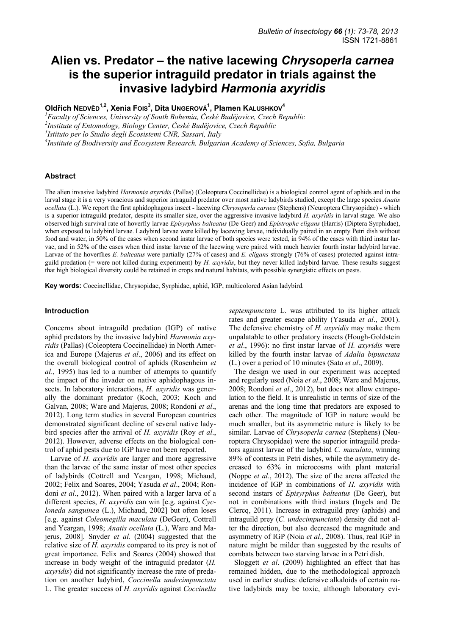# **Alien vs. Predator – the native lacewing** *Chrysoperla carnea* **is the superior intraguild predator in trials against the invasive ladybird** *Harmonia axyridis*

**Oldřich NEDVĚD1,2, Xenia FOIS3 , Dita UNGEROVÁ1 , Plamen KALUSHKOV<sup>4</sup>**

*1 Faculty of Sciences, University of South Bohemia, České Budějovice, Czech Republic 2 Institute of Entomology, Biology Center, České Budějovice, Czech Republic 3 Istituto per lo Studio degli Ecosistemi CNR, Sassari, Italy 4 Institute of Biodiversity and Ecosystem Research, Bulgarian Academy of Sciences, Sofia, Bulgaria* 

#### **Abstract**

The alien invasive ladybird *Harmonia axyridis* (Pallas) (Coleoptera Coccinellidae) is a biological control agent of aphids and in the larval stage it is a very voracious and superior intraguild predator over most native ladybirds studied, except the large species *Anatis ocellata* (L.). We report the first aphidophagous insect - lacewing *Chrysoperla carnea* (Stephens) (Neuroptera Chrysopidae) - which is a superior intraguild predator, despite its smaller size, over the aggressive invasive ladybird *H. axyridis* in larval stage. We also observed high survival rate of hoverfly larvae *Episyrphus balteatus* (De Geer) and *Epistrophe eligans* (Harris) (Diptera Syrphidae), when exposed to ladybird larvae. Ladybird larvae were killed by lacewing larvae, individually paired in an empty Petri dish without food and water, in 50% of the cases when second instar larvae of both species were tested, in 94% of the cases with third instar larvae, and in 52% of the cases when third instar larvae of the lacewing were paired with much heavier fourth instar ladybird larvae. Larvae of the hoverflies *E. balteatus* were partially (27% of cases) and *E. eligans* strongly (76% of cases) protected against intraguild predation (= were not killed during experiment) by *H. axyridis*, but they never killed ladybird larvae. These results suggest that high biological diversity could be retained in crops and natural habitats, with possible synergistic effects on pests.

**Key words:** Coccinellidae, Chrysopidae, Syrphidae, aphid, IGP, multicolored Asian ladybird.

## **Introduction**

Concerns about intraguild predation (IGP) of native aphid predators by the invasive ladybird *Harmonia axyridis* (Pallas) (Coleoptera Coccinellidae) in North America and Europe (Majerus *et al*., 2006) and its effect on the overall biological control of aphids (Rosenheim *et al*., 1995) has led to a number of attempts to quantify the impact of the invader on native aphidophagous insects. In laboratory interactions, *H. axyridis* was generally the dominant predator (Koch, 2003; Koch and Galvan, 2008; Ware and Majerus, 2008; Rondoni *et al*., 2012). Long term studies in several European countries demonstrated significant decline of several native ladybird species after the arrival of *H. axyridis* (Roy *et al*., 2012). However, adverse effects on the biological control of aphid pests due to IGP have not been reported.

Larvae of *H. axyridis* are larger and more aggressive than the larvae of the same instar of most other species of ladybirds (Cottrell and Yeargan, 1998; Michaud, 2002; Felix and Soares, 2004; Yasuda *et al*., 2004; Rondoni *et al*., 2012). When paired with a larger larva of a different species, *H. axyridis* can win [e.g. against *Cycloneda sanguinea* (L.), Michaud, 2002] but often loses [e.g. against *Coleomegilla maculata* (DeGeer), Cottrell and Yeargan, 1998; *Anatis ocellata* (L.), Ware and Majerus, 2008]. Snyder *et al*. (2004) suggested that the relative size of *H. axyridis* compared to its prey is not of great importance. Felix and Soares (2004) showed that increase in body weight of the intraguild predator (*H. axyridis*) did not significantly increase the rate of predation on another ladybird, *Coccinella undecimpunctata*  L. The greater success of *H. axyridis* against *Coccinella*  *septempunctata* L. was attributed to its higher attack rates and greater escape ability (Yasuda *et al*., 2001). The defensive chemistry of *H. axyridis* may make them unpalatable to other predatory insects (Hough-Goldstein *et al*., 1996): no first instar larvae of *H. axyridis* were killed by the fourth instar larvae of *Adalia bipunctata* (L.) over a period of 10 minutes (Sato *et al*., 2009).

The design we used in our experiment was accepted and regularly used (Noia *et al*., 2008; Ware and Majerus, 2008; Rondoni *et al*., 2012), but does not allow extrapolation to the field. It is unrealistic in terms of size of the arenas and the long time that predators are exposed to each other. The magnitude of IGP in nature would be much smaller, but its asymmetric nature is likely to be similar. Larvae of *Chrysoperla carnea* (Stephens) (Neuroptera Chrysopidae) were the superior intraguild predators against larvae of the ladybird *C. maculata*, winning 89% of contests in Petri dishes, while the asymmetry decreased to 63% in microcosms with plant material (Noppe *et al*., 2012). The size of the arena affected the incidence of IGP in combinations of *H. axyridis* with second instars of *Episyrphus balteatus* (De Geer), but not in combinations with third instars (Ingels and De Clercq, 2011). Increase in extraguild prey (aphids) and intraguild prey (*C. undecimpunctata*) density did not alter the direction, but also decreased the magnitude and asymmetry of IGP (Noia *et al*., 2008). Thus, real IGP in nature might be milder than suggested by the results of combats between two starving larvae in a Petri dish.

Sloggett *et al*. (2009) highlighted an effect that has remained hidden, due to the methodological approach used in earlier studies: defensive alkaloids of certain native ladybirds may be toxic, although laboratory evi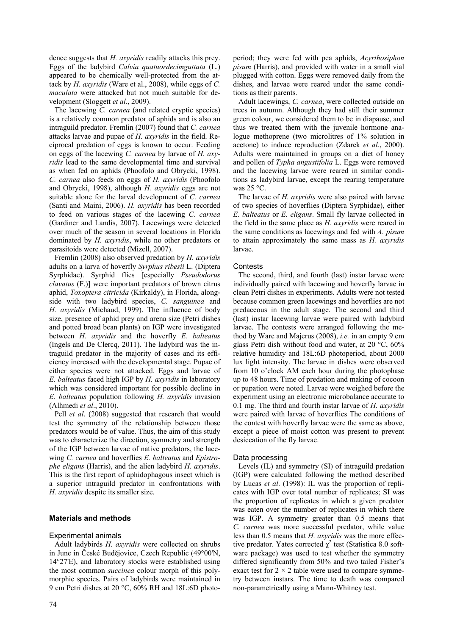dence suggests that *H. axyridis* readily attacks this prey. Eggs of the ladybird *Calvia quatuordecimguttata* (L.) appeared to be chemically well-protected from the attack by *H. axyridis* (Ware et al., 2008), while eggs of *C. maculata* were attacked but not much suitable for development (Sloggett *et al*., 2009).

The lacewing *C. carnea* (and related cryptic species) is a relatively common predator of aphids and is also an intraguild predator. Fremlin (2007) found that *C. carnea* attacks larvae and pupae of *H. axyridis* in the field. Reciprocal predation of eggs is known to occur. Feeding on eggs of the lacewing *C. carnea* by larvae of *H. axyridis* lead to the same developmental time and survival as when fed on aphids (Phoofolo and Obrycki, 1998). *C. carnea* also feeds on eggs of *H. axyridis* (Phoofolo and Obrycki, 1998), although *H. axyridis* eggs are not suitable alone for the larval development of *C. carnea* (Santi and Maini, 2006). *H. axyridis* has been recorded to feed on various stages of the lacewing *C. carnea* (Gardiner and Landis, 2007). Lacewings were detected over much of the season in several locations in Florida dominated by *H. axyridis*, while no other predators or parasitoids were detected (Mizell, 2007).

Fremlin (2008) also observed predation by *H. axyridis* adults on a larva of hoverfly *Syrphus ribesii* L. (Diptera Syrphidae). Syrphid flies [especially *Pseudodorus clavatus* (F.)] were important predators of brown citrus aphid, *Toxoptera citricida* (Kirkaldy), in Florida, alongside with two ladybird species, *C. sanguinea* and *H. axyridis* (Michaud, 1999). The influence of body size, presence of aphid prey and arena size (Petri dishes and potted broad bean plants) on IGP were investigated between *H. axyridis* and the hoverfly *E. balteatus* (Ingels and De Clercq, 2011). The ladybird was the intraguild predator in the majority of cases and its efficiency increased with the developmental stage. Pupae of either species were not attacked. Eggs and larvae of *E. balteatus* faced high IGP by *H. axyridis* in laboratory which was considered important for possible decline in *E. balteatus* population following *H. axyridis* invasion (Alhmedi *et al*., 2010).

Pell *et al*. (2008) suggested that research that would test the symmetry of the relationship between those predators would be of value. Thus, the aim of this study was to characterize the direction, symmetry and strength of the IGP between larvae of native predators, the lacewing *C. carnea* and hoverflies *E. balteatus* and *Epistrophe eligans* (Harris), and the alien ladybird *H. axyridis*. This is the first report of aphidophagous insect which is a superior intraguild predator in confrontations with *H. axyridis* despite its smaller size.

# **Materials and methods**

#### Experimental animals

Adult ladybirds *H. axyridis* were collected on shrubs in June in České Budějovice, Czech Republic (49°00'N, 14°27'E), and laboratory stocks were established using the most common *succinea* colour morph of this polymorphic species. Pairs of ladybirds were maintained in 9 cm Petri dishes at 20 °C, 60% RH and 18L:6D photo-

period; they were fed with pea aphids, *Acyrthosiphon pisum* (Harris), and provided with water in a small vial plugged with cotton. Eggs were removed daily from the dishes, and larvae were reared under the same conditions as their parents.

Adult lacewings, *C. carnea*, were collected outside on trees in autumn. Although they had still their summer green colour, we considered them to be in diapause, and thus we treated them with the juvenile hormone analogue methoprene (two microlitres of 1% solution in acetone) to induce reproduction (Zdarek *et al*., 2000). Adults were maintained in groups on a diet of honey and pollen of *Typha angustifolia* L. Eggs were removed and the lacewing larvae were reared in similar conditions as ladybird larvae, except the rearing temperature was  $25^{\circ}$ C.

The larvae of *H. axyridis* were also paired with larvae of two species of hoverflies (Diptera Syrphidae), either *E. balteatus* or *E. eligans*. Small fly larvae collected in the field in the same place as *H. axyridis* were reared in the same conditions as lacewings and fed with *A. pisum* to attain approximately the same mass as *H. axyridis* larvae.

#### **Contests**

The second, third, and fourth (last) instar larvae were individually paired with lacewing and hoverfly larvae in clean Petri dishes in experiments. Adults were not tested because common green lacewings and hoverflies are not predaceous in the adult stage. The second and third (last) instar lacewing larvae were paired with ladybird larvae. The contests were arranged following the method by Ware and Majerus (2008), *i.e.* in an empty 9 cm glass Petri dish without food and water, at 20 °C, 60% relative humidity and 18L:6D photoperiod, about 2000 lux light intensity. The larvae in dishes were observed from 10 o'clock AM each hour during the photophase up to 48 hours. Time of predation and making of cocoon or pupation were noted. Larvae were weighed before the experiment using an electronic microbalance accurate to 0.1 mg. The third and fourth instar larvae of *H. axyridis* were paired with larvae of hoverflies The conditions of the contest with hoverfly larvae were the same as above, except a piece of moist cotton was present to prevent desiccation of the fly larvae.

#### Data processing

Levels (IL) and symmetry (SI) of intraguild predation (IGP) were calculated following the method described by Lucas *et al*. (1998): IL was the proportion of replicates with IGP over total number of replicates; SI was the proportion of replicates in which a given predator was eaten over the number of replicates in which there was IGP. A symmetry greater than 0.5 means that *C. carnea* was more successful predator, while value less than 0.5 means that *H. axyridis* was the more effective predator. Yates corrected  $\chi^2$  test (Statistica 8.0 software package) was used to test whether the symmetry differed significantly from 50% and two tailed Fisher's exact test for  $2 \times 2$  table were used to compare symmetry between instars. The time to death was compared non-parametrically using a Mann-Whitney test.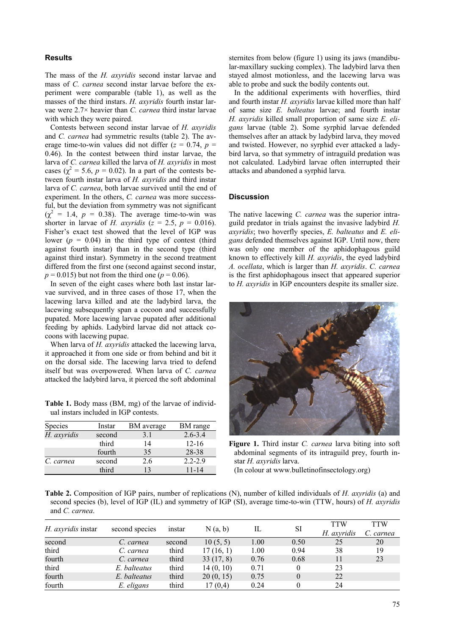# **Results**

The mass of the *H. axyridis* second instar larvae and mass of *C. carnea* second instar larvae before the experiment were comparable (table 1), as well as the masses of the third instars. *H. axyridis* fourth instar larvae were 2.7× heavier than *C. carnea* third instar larvae with which they were paired.

Contests between second instar larvae of *H. axyridis* and *C. carnea* had symmetric results (table 2). The average time-to-win values did not differ  $(z = 0.74, p = 1)$ 0.46). In the contest between third instar larvae, the larva of *C. carnea* killed the larva of *H. axyridis* in most cases ( $\chi^2$  = 5.6, *p* = 0.02). In a part of the contests between fourth instar larva of *H. axyridis* and third instar larva of *C. carnea*, both larvae survived until the end of experiment. In the others, *C. carnea* was more successful, but the deviation from symmetry was not significant  $(\chi^2 = 1.4, p = 0.38)$ . The average time-to-win was shorter in larvae of *H. axyridis* ( $z = 2.5$ ,  $p = 0.016$ ). Fisher's exact test showed that the level of IGP was lower  $(p = 0.04)$  in the third type of contest (third against fourth instar) than in the second type (third against third instar). Symmetry in the second treatment differed from the first one (second against second instar,  $p = 0.015$ ) but not from the third one ( $p = 0.06$ ).

In seven of the eight cases where both last instar larvae survived, and in three cases of those 17, when the lacewing larva killed and ate the ladybird larva, the lacewing subsequently span a cocoon and successfully pupated. More lacewing larvae pupated after additional feeding by aphids. Ladybird larvae did not attack cocoons with lacewing pupae.

When larva of *H. axyridis* attacked the lacewing larva, it approached it from one side or from behind and bit it on the dorsal side. The lacewing larva tried to defend itself but was overpowered. When larva of *C. carnea*  attacked the ladybird larva, it pierced the soft abdominal

**Table 1.** Body mass (BM, mg) of the larvae of individual instars included in IGP contests.

| Species     | Instar | BM average | BM range    |  |  |
|-------------|--------|------------|-------------|--|--|
| H. axyridis | second | 3.1        | $2.6 - 3.4$ |  |  |
|             | third  | 14         | $12 - 16$   |  |  |
|             | fourth | 35         | 28-38       |  |  |
| C. carnea   | second | 2.6        | $2.2 - 2.9$ |  |  |
|             | third  | 13         | $11 - 14$   |  |  |

sternites from below (figure 1) using its jaws (mandibular-maxillary sucking complex). The ladybird larva then stayed almost motionless, and the lacewing larva was able to probe and suck the bodily contents out.

In the additional experiments with hoverflies, third and fourth instar *H. axyridis* larvae killed more than half of same size *E. balteatus* larvae; and fourth instar *H. axyridis* killed small proportion of same size *E. eligans* larvae (table 2). Some syrphid larvae defended themselves after an attack by ladybird larva, they moved and twisted. However, no syrphid ever attacked a ladybird larva, so that symmetry of intraguild predation was not calculated. Ladybird larvae often interrupted their attacks and abandoned a syrphid larva.

#### **Discussion**

The native lacewing *C. carnea* was the superior intraguild predator in trials against the invasive ladybird *H. axyridis*; two hoverfly species, *E. balteatus* and *E. eligans* defended themselves against IGP. Until now, there was only one member of the aphidophagous guild known to effectively kill *H. axyridis*, the eyed ladybird *A. ocellata*, which is larger than *H. axyridis*. *C. carnea* is the first aphidophagous insect that appeared superior to *H. axyridis* in IGP encounters despite its smaller size.



**Figure 1.** Third instar *C. carnea* larva biting into soft abdominal segments of its intraguild prey, fourth instar *H. axyridis* larva. (In colour at www.bulletinofinsectology.org)

**Table 2.** Composition of IGP pairs, number of replications (N), number of killed individuals of *H. axyridis* (a) and second species (b), level of IGP (IL) and symmetry of IGP (SI), average time-to-win (TTW, hours) of *H. axyridis* and *C. carnea*.

| H. axyridis instar |                | instar | N(a, b)   | IL   | SI       | TTW         | <b>TTW</b> |
|--------------------|----------------|--------|-----------|------|----------|-------------|------------|
|                    | second species |        |           |      |          | H. axyridis | C. carnea  |
| second             | C. carnea      | second | 10(5, 5)  | 1.00 | 0.50     | 25          | 20         |
| third              | C. carnea      | third  | 17(16, 1) | 1.00 | 0.94     | 38          | 19         |
| fourth             | C. carnea      | third  | 33(17, 8) | 0.76 | 0.68     |             | 23         |
| third              | E. balteatus   | third  | 14(0, 10) | 0.71 |          | 23          |            |
| fourth             | E. balteatus   | third  | 20(0, 15) | 0.75 | $\theta$ | 22          |            |
| fourth             | E. eligans     | third  | 17(0,4)   | 0.24 |          | 24          |            |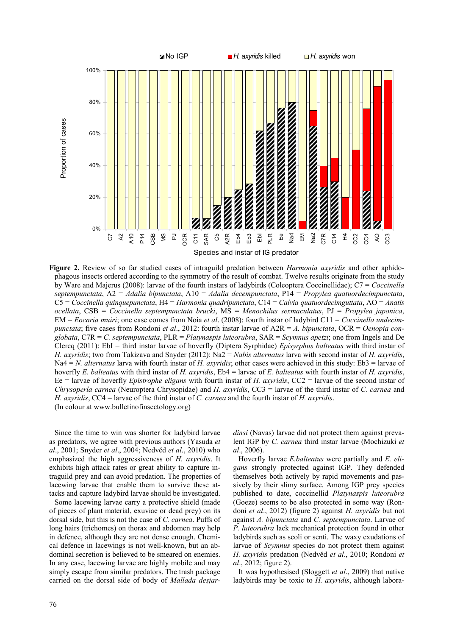

**Figure 2.** Review of so far studied cases of intraguild predation between *Harmonia axyridis* and other aphidophagous insects ordered according to the symmetry of the result of combat. Twelve results originate from the study by Ware and Majerus (2008): larvae of the fourth instars of ladybirds (Coleoptera Coccinellidae); C7 = *Coccinella septempunctata*, A2 = *Adalia bipunctata*, A10 = *Adalia decempunctata*, P14 = *Propylea quatuordecimpunctata*, C5 = *Coccinella quinquepunctata*, H4 = *Harmonia quadripunctata*, C14 = *Calvia quatuordecimguttata*, AO = *Anatis ocellata*, CSB = *Coccinella septempunctata brucki*, MS = *Menochilus sexmaculatus*, PJ = *Propylea japonica*, EM = *Eocaria muiri*; one case comes from Noia *et al*. (2008): fourth instar of ladybird C11 = *Coccinella undecimpunctata*; five cases from Rondoni *et al.*, 2012; fourth instar larvae of  $A2R = A$ , *bipunctata*, OCR = *Oenopia conglobata*, C7R = *C. septempunctata*, PLR = *Platynaspis luteorubra*, SAR = *Scymnus apetzi*; one from Ingels and De Clercq (2011): EbI = third instar larvae of hoverfly (Diptera Syrphidae) *Episyrphus balteatus* with third instar of *H. axyridis*; two from Takizava and Snyder (2012): Na2 = *Nabis alternatus* larva with second instar of *H. axyridis*, Na4 = *N. alternatus* larva with fourth instar of *H. axyridis*; other cases were achieved in this study: Eb3 = larvae of hoverfly *E. balteatus* with third instar of *H. axyridis*, Eb4 = larvae of *E. balteatus* with fourth instar of *H. axyridis*, Ee = larvae of hoverfly *Epistrophe eligans* with fourth instar of *H. axyridis*, CC2 = larvae of the second instar of *Chrysoperla carnea* (Neuroptera Chrysopidae) and *H. axyridis*, CC3 = larvae of the third instar of *C. carnea* and *H. axyridis*, CC4 = larvae of the third instar of *C. carnea* and the fourth instar of *H. axyridis*. (In colour at www.bulletinofinsectology.org)

Since the time to win was shorter for ladybird larvae as predators, we agree with previous authors (Yasuda *et al*., 2001; Snyder *et al*., 2004; Nedvěd *et al*., 2010) who emphasized the high aggressiveness of *H. axyridis*. It exhibits high attack rates or great ability to capture intraguild prey and can avoid predation. The properties of lacewing larvae that enable them to survive these attacks and capture ladybird larvae should be investigated.

Some lacewing larvae carry a protective shield (made of pieces of plant material, exuviae or dead prey) on its dorsal side, but this is not the case of *C. carnea*. Puffs of long hairs (trichomes) on thorax and abdomen may help in defence, although they are not dense enough. Chemical defence in lacewings is not well-known, but an abdominal secretion is believed to be smeared on enemies. In any case, lacewing larvae are highly mobile and may simply escape from similar predators. The trash package carried on the dorsal side of body of *Mallada desjar-* *dinsi* (Navas) larvae did not protect them against prevalent IGP by *C. carnea* third instar larvae (Mochizuki *et al*., 2006).

Hoverfly larvae *E.balteatus* were partially and *E. eligans* strongly protected against IGP. They defended themselves both actively by rapid movements and passively by their slimy surface. Among IGP prey species published to date, coccinellid *Platynaspis luteorubra* (Goeze) seems to be also protected in some way (Rondoni *et al*., 2012) (figure 2) against *H. axyridis* but not against *A. bipunctata* and *C. septempunctata*. Larvae of *P. luteorubra* lack mechanical protection found in other ladybirds such as scoli or senti. The waxy exudations of larvae of *Scymnus* species do not protect them against *H. axyridis* predation (Nedvěd *et al*., 2010; Rondoni *et al*., 2012; figure 2).

It was hypothesised (Sloggett *et al*., 2009) that native ladybirds may be toxic to *H. axyridis*, although labora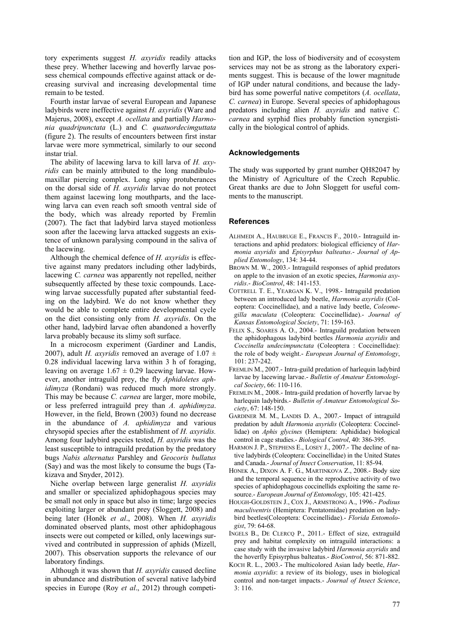tory experiments suggest *H. axyridis* readily attacks these prey. Whether lacewing and hoverfly larvae possess chemical compounds effective against attack or decreasing survival and increasing developmental time remain to be tested.

Fourth instar larvae of several European and Japanese ladybirds were ineffective against *H. axyridis* (Ware and Majerus, 2008), except *A. ocellata* and partially *Harmonia quadripunctata* (L.) and *C. quatuordecimguttata* (figure 2). The results of encounters between first instar larvae were more symmetrical, similarly to our second instar trial.

The ability of lacewing larva to kill larva of *H. axyridis* can be mainly attributed to the long mandibulomaxillar piercing complex. Long spiny protuberances on the dorsal side of *H. axyridis* larvae do not protect them against lacewing long mouthparts, and the lacewing larva can even reach soft smooth ventral side of the body, which was already reported by Fremlin (2007). The fact that ladybird larva stayed motionless soon after the lacewing larva attacked suggests an existence of unknown paralysing compound in the saliva of the lacewing.

Although the chemical defence of *H. axyridis* is effective against many predators including other ladybirds, lacewing *C. carnea* was apparently not repelled, neither subsequently affected by these toxic compounds. Lacewing larvae successfully pupated after substantial feeding on the ladybird. We do not know whether they would be able to complete entire developmental cycle on the diet consisting only from *H. axyridis*. On the other hand, ladybird larvae often abandoned a hoverfly larva probably because its slimy soft surface.

In a microcosm experiment (Gardiner and Landis, 2007), adult *H. axyridis* removed an average of  $1.07 \pm 1.07$ 0.28 individual lacewing larva within 3 h of foraging, leaving on average  $1.67 \pm 0.29$  lacewing larvae. However, another intraguild prey, the fly *Aphidoletes aphidimyza* (Rondani) was reduced much more strongly. This may be because *C. carnea* are larger, more mobile, or less preferred intraguild prey than *A. aphidimyza*. However, in the field, Brown (2003) found no decrease in the abundance of *A. aphidimyza* and various chrysopid species after the establishment of *H. axyridis.* Among four ladybird species tested, *H. axyridis* was the least susceptible to intraguild predation by the predatory bugs *Nabis alternatus* Parshley and *Geocoris bullatus* (Say) and was the most likely to consume the bugs (Takizava and Snyder, 2012).

Niche overlap between large generalist *H. axyridis* and smaller or specialized aphidophagous species may be small not only in space but also in time; large species exploiting larger or abundant prey (Sloggett, 2008) and being later (Honěk *et al*., 2008). When *H. axyridis* dominated observed plants, most other aphidophagous insects were out competed or killed, only lacewings survived and contributed in suppression of aphids (Mizell, 2007). This observation supports the relevance of our laboratory findings.

Although it was shown that *H. axyridis* caused decline in abundance and distribution of several native ladybird species in Europe (Roy *et al*., 2012) through competi-

tion and IGP, the loss of biodiversity and of ecosystem services may not be as strong as the laboratory experiments suggest. This is because of the lower magnitude of IGP under natural conditions, and because the ladybird has some powerful native competitors (*A. ocellata*, *C. carnea*) in Europe. Several species of aphidophagous predators including alien *H. axyridis* and native *C. carnea* and syrphid flies probably function synergistically in the biological control of aphids.

## **Acknowledgements**

The study was supported by grant number QH82047 by the Ministry of Agriculture of the Czech Republic. Great thanks are due to John Sloggett for useful comments to the manuscript.

#### **References**

- ALHMEDI A., HAUBRUGE E., FRANCIS F., 2010.- Intraguild interactions and aphid predators: biological efficiency of *Harmonia axyridis* and *Episyrphus balteatus*.- *Journal of Applied Entomology*, 134: 34-44.
- BROWN M. W., 2003.- Intraguild responses of aphid predators on apple to the invasion of an exotic species, *Harmonia axyridis*.- *BioControl*, 48: 141-153.
- COTTRELL T. E., YEARGAN K. V., 1998.- Intraguild predation between an introduced lady beetle, *Harmonia axyridis* (Coleoptera: Coccinellidae), and a native lady beetle, *Coleomegilla maculata* (Coleoptera: Coccinellidae).- *Journal of Kansas Entomological Society*, 71: 159-163.
- FELIX S., SOARES A. O., 2004.- Intraguild predation between the aphidophagous ladybird beetles *Harmonia axyridis* and *Coccinella undecimpunctata* (Coleoptera : Coccinellidae): the role of body weight.- *European Journal of Entomology*, 101: 237-242.
- FREMLIN M., 2007.- Intra-guild predation of harlequin ladybird larvae by lacewing larvae.- *Bulletin of Amateur Entomological Society*, 66: 110-116.
- FREMLIN M., 2008.- Intra-guild predation of hoverfly larvae by harlequin ladybirds.- *Bulletin of Amateur Entomological Society*, 67: 148-150.
- GARDINER M. M., LANDIS D. A., 2007.- Impact of intraguild predation by adult *Harmonia axyridis* (Coleoptera: Coccinellidae) on *Aphis glycines* (Hemiptera: Aphididae) biological control in cage studies.- *Biological Control*, 40: 386-395.
- HARMON J. P., STEPHENS E., LOSEY J., 2007.- The decline of native ladybirds (Coleoptera: Coccinellidae) in the United States and Canada.- *Journal of Insect Conservation*, 11: 85-94.
- HONEK A., DIXON A. F. G., MARTINKOVA Z., 2008.- Body size and the temporal sequence in the reproductive activity of two species of aphidophagous coccinellids exploiting the same resource.- *European Journal of Entomology*, 105: 421-425.
- HOUGH-GOLDSTEIN J., COX J., ARMSTRONG A., 1996.- *Podisus maculiventris* (Hemiptera: Pentatomidae) predation on ladybird beetles(Coleoptera: Coccinellidae).- *Florida Entomologist*, 79: 64-68.
- INGELS B., DE CLERCQ P., 2011.- Effect of size, extraguild prey and habitat complexity on intraguild interactions: a case study with the invasive ladybird *Harmonia axyridis* and the hoverfly Episyrphus balteatus.- *BioControl*, 56: 871-882.
- KOCH R. L., 2003.- The multicolored Asian lady beetle, *Harmonia axyridis*: a review of its biology, uses in biological control and non-target impacts.- *Journal of Insect Science*, 3: 116.